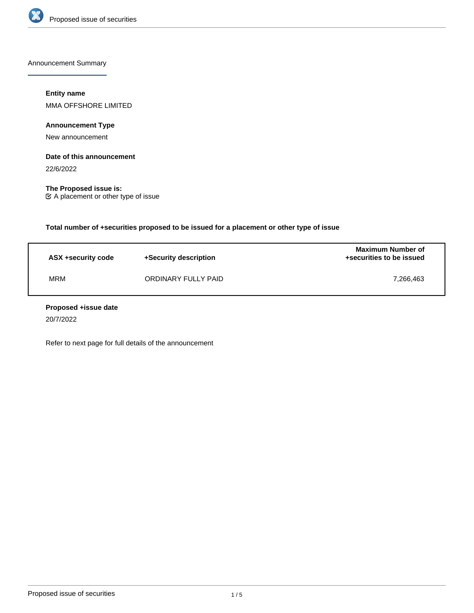

Announcement Summary

# **Entity name**

MMA OFFSHORE LIMITED

**Announcement Type**

New announcement

# **Date of this announcement**

22/6/2022

**The Proposed issue is:** A placement or other type of issue

**Total number of +securities proposed to be issued for a placement or other type of issue**

| ASX +security code | +Security description | <b>Maximum Number of</b><br>+securities to be issued |
|--------------------|-----------------------|------------------------------------------------------|
| MRM                | ORDINARY FULLY PAID   | 7.266.463                                            |

#### **Proposed +issue date**

20/7/2022

Refer to next page for full details of the announcement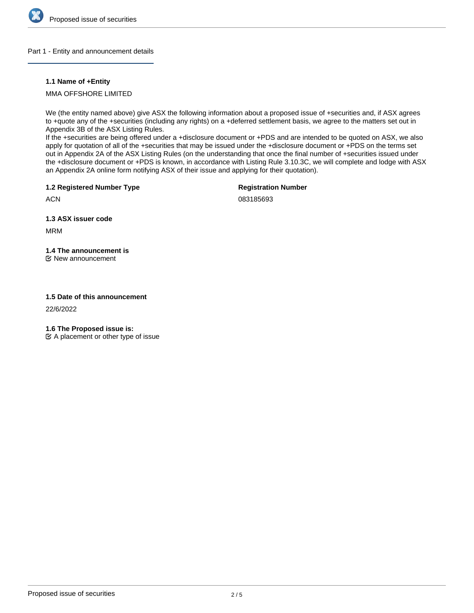

# Part 1 - Entity and announcement details

# **1.1 Name of +Entity**

MMA OFFSHORE LIMITED

We (the entity named above) give ASX the following information about a proposed issue of +securities and, if ASX agrees to +quote any of the +securities (including any rights) on a +deferred settlement basis, we agree to the matters set out in Appendix 3B of the ASX Listing Rules.

If the +securities are being offered under a +disclosure document or +PDS and are intended to be quoted on ASX, we also apply for quotation of all of the +securities that may be issued under the +disclosure document or +PDS on the terms set out in Appendix 2A of the ASX Listing Rules (on the understanding that once the final number of +securities issued under the +disclosure document or +PDS is known, in accordance with Listing Rule 3.10.3C, we will complete and lodge with ASX an Appendix 2A online form notifying ASX of their issue and applying for their quotation).

**1.2 Registered Number Type**

**Registration Number**

**ACN** 

083185693

**1.3 ASX issuer code**

MRM

# **1.4 The announcement is**

New announcement

# **1.5 Date of this announcement**

22/6/2022

**1.6 The Proposed issue is:**

 $\mathfrak{C}$  A placement or other type of issue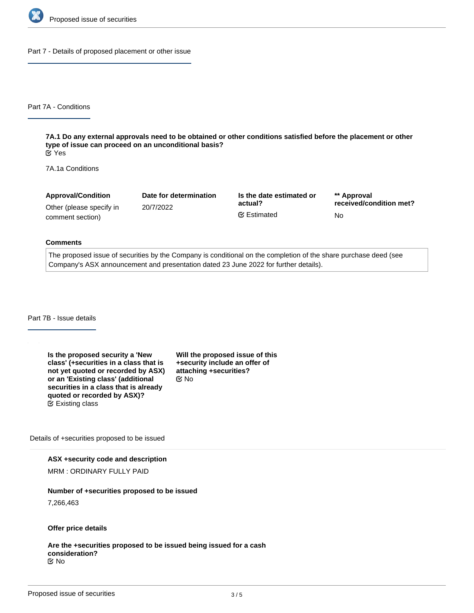

Part 7 - Details of proposed placement or other issue

Part 7A - Conditions

**7A.1 Do any external approvals need to be obtained or other conditions satisfied before the placement or other type of issue can proceed on an unconditional basis?** Yes

7A.1a Conditions

| <b>Approval/Condition</b> | Date for determination | Is the date estimated or | ** Approval             |
|---------------------------|------------------------|--------------------------|-------------------------|
| Other (please specify in  | 20/7/2022              | actual?                  | received/condition met? |
| comment section)          |                        | <b></b> Estimated        | No                      |

#### **Comments**

The proposed issue of securities by the Company is conditional on the completion of the share purchase deed (see Company's ASX announcement and presentation dated 23 June 2022 for further details).

Part 7B - Issue details

**Is the proposed security a 'New class' (+securities in a class that is not yet quoted or recorded by ASX) or an 'Existing class' (additional securities in a class that is already quoted or recorded by ASX)?** Existing class

**Will the proposed issue of this +security include an offer of attaching +securities?** No

Details of +securities proposed to be issued

#### **ASX +security code and description**

MRM : ORDINARY FULLY PAID

#### **Number of +securities proposed to be issued**

7,266,463

# **Offer price details**

#### **Are the +securities proposed to be issued being issued for a cash consideration?** No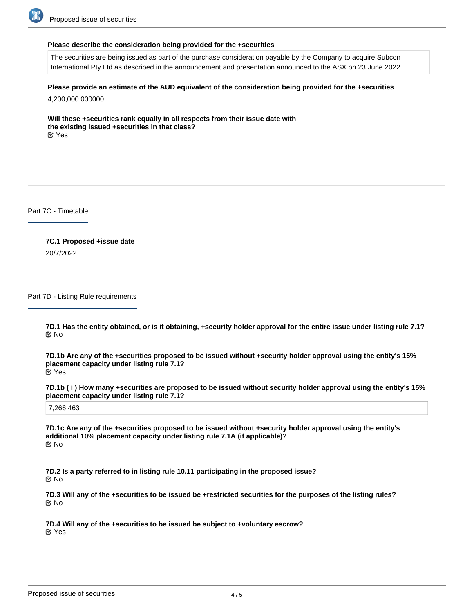

#### **Please describe the consideration being provided for the +securities**

The securities are being issued as part of the purchase consideration payable by the Company to acquire Subcon International Pty Ltd as described in the announcement and presentation announced to the ASX on 23 June 2022.

**Please provide an estimate of the AUD equivalent of the consideration being provided for the +securities**

4,200,000.000000

**Will these +securities rank equally in all respects from their issue date with the existing issued +securities in that class?** Yes

Part 7C - Timetable

**7C.1 Proposed +issue date** 20/7/2022

Part 7D - Listing Rule requirements

**7D.1 Has the entity obtained, or is it obtaining, +security holder approval for the entire issue under listing rule 7.1?** No

**7D.1b Are any of the +securities proposed to be issued without +security holder approval using the entity's 15% placement capacity under listing rule 7.1?** Yes

**7D.1b ( i ) How many +securities are proposed to be issued without security holder approval using the entity's 15% placement capacity under listing rule 7.1?**

7,266,463

**7D.1c Are any of the +securities proposed to be issued without +security holder approval using the entity's additional 10% placement capacity under listing rule 7.1A (if applicable)?** No

**7D.2 Is a party referred to in listing rule 10.11 participating in the proposed issue?** No

**7D.3 Will any of the +securities to be issued be +restricted securities for the purposes of the listing rules?** No

**7D.4 Will any of the +securities to be issued be subject to +voluntary escrow?** Yes